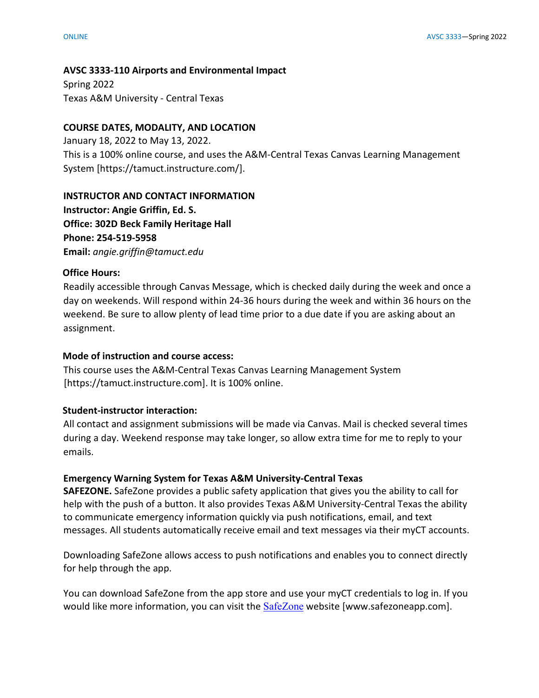#### **AVSC 3333-110 Airports and Environmental Impact**

Spring 2022 Texas A&M University - Central Texas

#### **COURSE DATES, MODALITY, AND LOCATION**

January 18, 2022 to May 13, 2022. This is a 100% online course, and uses the A&M-Central Texas Canvas Learning Management System [https://tamuct.instructure.com/].

#### **INSTRUCTOR AND CONTACT INFORMATION**

**Instructor: Angie Griffin, Ed. S. Office: 302D Beck Family Heritage Hall Phone: 254-519-5958 Email:** *angie.griffin@tamuct.edu*

#### **Office Hours:**

Readily accessible through Canvas Message, which is checked daily during the week and once a day on weekends. Will respond within 24-36 hours during the week and within 36 hours on the weekend. Be sure to allow plenty of lead time prior to a due date if you are asking about an assignment.

#### **Mode of instruction and course access:**

This course uses the A&M-Central Texas Canvas Learning Management System [https://tamuct.instructure.com]. It is 100% online.

#### **Student-instructor interaction:**

All contact and assignment submissions will be made via Canvas. Mail is checked several times during a day. Weekend response may take longer, so allow extra time for me to reply to your emails.

#### **Emergency Warning System for Texas A&M University-Central Texas**

**SAFEZONE.** SafeZone provides a public safety application that gives you the ability to call for help with the push of a button. It also provides Texas A&M University-Central Texas the ability to communicate emergency information quickly via push notifications, email, and text messages. All students automatically receive email and text messages via their myCT accounts.

Downloading SafeZone allows access to push notifications and enables you to connect directly for help through the app.

You can download SafeZone from the app store and use your myCT credentials to log in. If you would like more information, you can visit the [SafeZone](https://nam04.safelinks.protection.outlook.com/?url=http%3A%2F%2Fwww.safezoneapp.com%2F&data=04%7C01%7Ccarson.pearce%40tamuct.edu%7C36042fab4fc7434c090008d9c3cb353b%7C9eed4e3000f744849ff193ad8005acec%7C0%7C0%7C637756100428183868%7CUnknown%7CTWFpbGZsb3d8eyJWIjoiMC4wLjAwMDAiLCJQIjoiV2luMzIiLCJBTiI6Ik1haWwiLCJXVCI6Mn0%3D%7C3000&sdata=M9GtdIRPIWaqAL85MChHRNMQgb%2FnvmJdfyjR%2BUN19pk%3D&reserved=0) website [www.safezoneapp.com].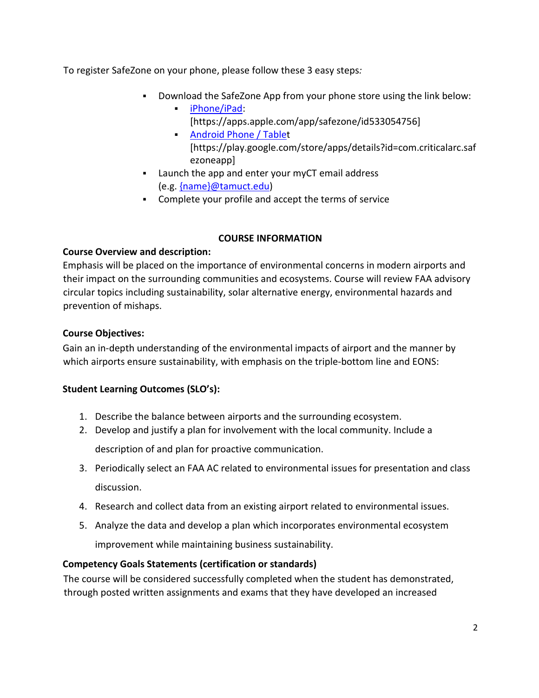To register SafeZone on your phone, please follow these 3 easy steps*:*

- Download the SafeZone App from your phone store using the link below:
	- [iPhone/iPad:](https://nam04.safelinks.protection.outlook.com/?url=https%3A%2F%2Fapps.apple.com%2Fapp%2Fsafezone%2Fid533054756&data=04%7C01%7Ccarson.pearce%40tamuct.edu%7C36042fab4fc7434c090008d9c3cb353b%7C9eed4e3000f744849ff193ad8005acec%7C0%7C0%7C637756100428183868%7CUnknown%7CTWFpbGZsb3d8eyJWIjoiMC4wLjAwMDAiLCJQIjoiV2luMzIiLCJBTiI6Ik1haWwiLCJXVCI6Mn0%3D%7C3000&sdata=vPQVTvekmuTQkNF6pF73JFVExrbMKfheHZ%2BjyIbHOvY%3D&reserved=0) [https://apps.apple.com/app/safezone/id533054756]
	- **[Android Phone / Tablet](https://nam04.safelinks.protection.outlook.com/?url=https%3A%2F%2Fplay.google.com%2Fstore%2Fapps%2Fdetails%3Fid%3Dcom.criticalarc.safezoneapp&data=04%7C01%7Ccarson.pearce%40tamuct.edu%7C36042fab4fc7434c090008d9c3cb353b%7C9eed4e3000f744849ff193ad8005acec%7C0%7C0%7C637756100428183868%7CUnknown%7CTWFpbGZsb3d8eyJWIjoiMC4wLjAwMDAiLCJQIjoiV2luMzIiLCJBTiI6Ik1haWwiLCJXVCI6Mn0%3D%7C3000&sdata=HL5WG7P5ZCWthKyES6ag8naBQllFHtelfPV4m6jfPYg%3D&reserved=0)** [https://play.google.com/store/apps/details?id=com.criticalarc.saf ezoneapp]
- Launch the app and enter your myCT email address (e.g. [{name}@tamuct.edu\)](mailto:%7bname%7d@tamuct.edu)
- Complete your profile and accept the terms of service

## **COURSE INFORMATION**

## **Course Overview and description:**

Emphasis will be placed on the importance of environmental concerns in modern airports and their impact on the surrounding communities and ecosystems. Course will review FAA advisory circular topics including sustainability, solar alternative energy, environmental hazards and prevention of mishaps.

## **Course Objectives:**

Gain an in-depth understanding of the environmental impacts of airport and the manner by which airports ensure sustainability, with emphasis on the triple-bottom line and EONS:

# **Student Learning Outcomes (SLO's):**

- 1. Describe the balance between airports and the surrounding ecosystem.
- 2. Develop and justify a plan for involvement with the local community. Include a

description of and plan for proactive communication.

- 3. Periodically select an FAA AC related to environmental issues for presentation and class discussion.
- 4. Research and collect data from an existing airport related to environmental issues.
- 5. Analyze the data and develop a plan which incorporates environmental ecosystem improvement while maintaining business sustainability.

# **Competency Goals Statements (certification or standards)**

The course will be considered successfully completed when the student has demonstrated, through posted written assignments and exams that they have developed an increased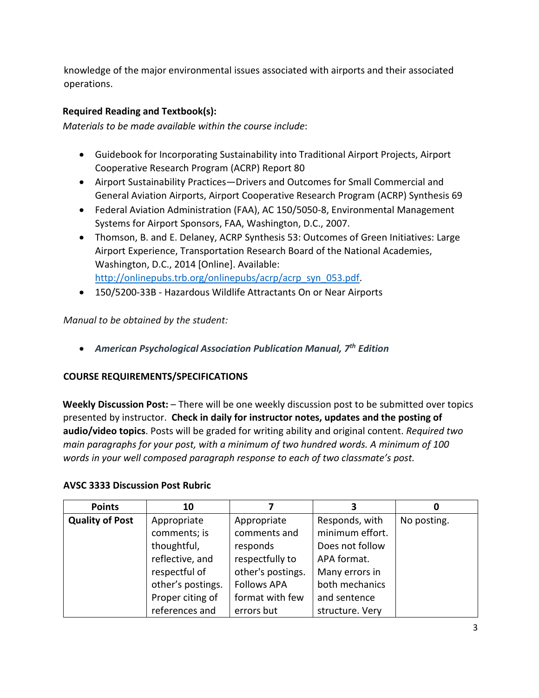knowledge of the major environmental issues associated with airports and their associated operations.

## **Required Reading and Textbook(s):**

*Materials to be made available within the course include*:

- Guidebook for Incorporating Sustainability into Traditional Airport Projects, Airport Cooperative Research Program (ACRP) Report 80
- Airport Sustainability Practices—Drivers and Outcomes for Small Commercial and General Aviation Airports, Airport Cooperative Research Program (ACRP) Synthesis 69
- Federal Aviation Administration (FAA), AC 150/5050-8, Environmental Management Systems for Airport Sponsors, FAA, Washington, D.C., 2007.
- Thomson, B. and E. Delaney, ACRP Synthesis 53: Outcomes of Green Initiatives: Large Airport Experience, Transportation Research Board of the National Academies, Washington, D.C., 2014 [Online]. Available: [http://onlinepubs.trb.org/onlinepubs/acrp/acrp\\_syn\\_053.pdf.](http://onlinepubs.trb.org/onlinepubs/acrp/acrp_syn_053.pdf)
- 150/5200-33B Hazardous Wildlife Attractants On or Near Airports

*Manual to be obtained by the student:* 

• *American Psychological Association Publication Manual, 7th Edition*

## **COURSE REQUIREMENTS/SPECIFICATIONS**

**Weekly Discussion Post:** – There will be one weekly discussion post to be submitted over topics presented by instructor. **Check in daily for instructor notes, updates and the posting of audio/video topics**. Posts will be graded for writing ability and original content. *Required two main paragraphs for your post, with a minimum of two hundred words. A minimum of 100 words in your well composed paragraph response to each of two classmate's post.* 

#### **AVSC 3333 Discussion Post Rubric**

| <b>Points</b>          | 10                |                    | 3               |             |
|------------------------|-------------------|--------------------|-----------------|-------------|
| <b>Quality of Post</b> | Appropriate       | Appropriate        | Responds, with  | No posting. |
|                        | comments; is      | comments and       | minimum effort. |             |
|                        | thoughtful,       | responds           | Does not follow |             |
|                        | reflective, and   | respectfully to    | APA format.     |             |
|                        | respectful of     | other's postings.  | Many errors in  |             |
|                        | other's postings. | <b>Follows APA</b> | both mechanics  |             |
|                        | Proper citing of  | format with few    | and sentence    |             |
|                        | references and    | errors but         | structure. Very |             |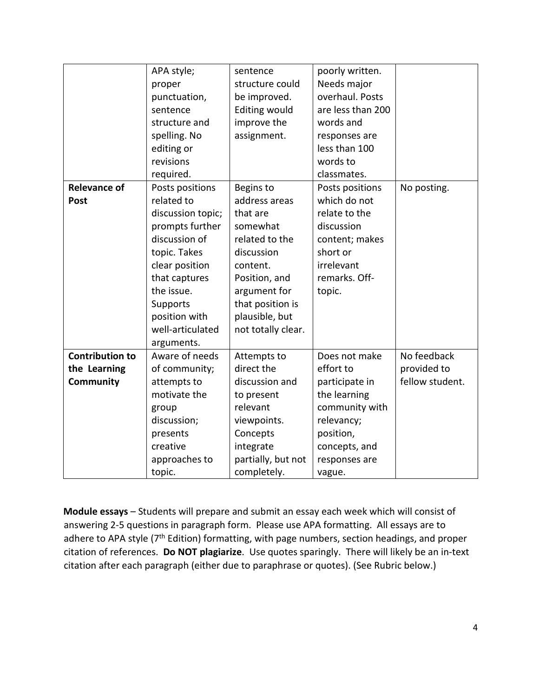|                        | APA style;        | sentence             | poorly written.   |                 |
|------------------------|-------------------|----------------------|-------------------|-----------------|
|                        |                   | structure could      | Needs major       |                 |
|                        | proper            |                      | overhaul. Posts   |                 |
|                        | punctuation,      | be improved.         |                   |                 |
|                        | sentence          | <b>Editing would</b> | are less than 200 |                 |
|                        | structure and     | improve the          | words and         |                 |
|                        | spelling. No      | assignment.          | responses are     |                 |
|                        | editing or        |                      | less than 100     |                 |
|                        | revisions         |                      | words to          |                 |
|                        | required.         |                      | classmates.       |                 |
| <b>Relevance of</b>    | Posts positions   | Begins to            | Posts positions   | No posting.     |
| Post                   | related to        | address areas        | which do not      |                 |
|                        | discussion topic; | that are             | relate to the     |                 |
|                        | prompts further   | somewhat             | discussion        |                 |
|                        | discussion of     | related to the       | content; makes    |                 |
|                        | topic. Takes      | discussion           | short or          |                 |
|                        | clear position    | content.             | irrelevant        |                 |
|                        | that captures     | Position, and        | remarks. Off-     |                 |
|                        | the issue.        | argument for         | topic.            |                 |
|                        | Supports          | that position is     |                   |                 |
|                        | position with     | plausible, but       |                   |                 |
|                        | well-articulated  | not totally clear.   |                   |                 |
|                        | arguments.        |                      |                   |                 |
| <b>Contribution to</b> | Aware of needs    | Attempts to          | Does not make     | No feedback     |
| the Learning           | of community;     | direct the           | effort to         | provided to     |
| <b>Community</b>       | attempts to       | discussion and       | participate in    | fellow student. |
|                        | motivate the      | to present           | the learning      |                 |
|                        | group             | relevant             | community with    |                 |
|                        | discussion;       | viewpoints.          | relevancy;        |                 |
|                        | presents          | Concepts             | position,         |                 |
|                        | creative          | integrate            | concepts, and     |                 |
|                        | approaches to     | partially, but not   | responses are     |                 |
|                        | topic.            | completely.          | vague.            |                 |

**Module essays** – Students will prepare and submit an essay each week which will consist of answering 2-5 questions in paragraph form. Please use APA formatting. All essays are to adhere to APA style (7<sup>th</sup> Edition) formatting, with page numbers, section headings, and proper citation of references. **Do NOT plagiarize**. Use quotes sparingly. There will likely be an in-text citation after each paragraph (either due to paraphrase or quotes). (See Rubric below.)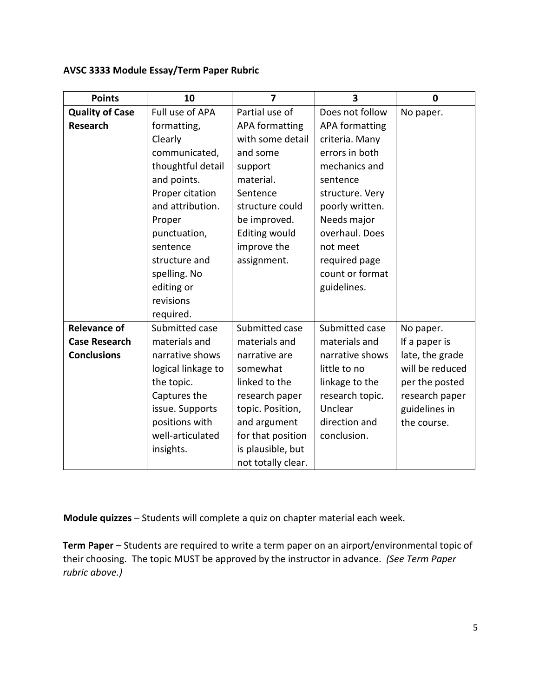## **AVSC 3333 Module Essay/Term Paper Rubric**

| <b>Points</b>          | 10                 | $\overline{7}$       | 3                     | $\mathbf 0$     |
|------------------------|--------------------|----------------------|-----------------------|-----------------|
| <b>Quality of Case</b> | Full use of APA    | Partial use of       | Does not follow       | No paper.       |
| <b>Research</b>        | formatting,        | APA formatting       | <b>APA formatting</b> |                 |
|                        | Clearly            | with some detail     | criteria. Many        |                 |
|                        | communicated,      | and some             | errors in both        |                 |
|                        | thoughtful detail  | support              | mechanics and         |                 |
|                        | and points.        | material.            | sentence              |                 |
|                        | Proper citation    | Sentence             | structure. Very       |                 |
|                        | and attribution.   | structure could      | poorly written.       |                 |
|                        | Proper             | be improved.         | Needs major           |                 |
|                        | punctuation,       | <b>Editing would</b> | overhaul. Does        |                 |
|                        | sentence           | improve the          | not meet              |                 |
|                        | structure and      | assignment.          | required page         |                 |
|                        | spelling. No       |                      | count or format       |                 |
|                        | editing or         |                      | guidelines.           |                 |
|                        | revisions          |                      |                       |                 |
|                        | required.          |                      |                       |                 |
| <b>Relevance of</b>    | Submitted case     | Submitted case       | Submitted case        | No paper.       |
| <b>Case Research</b>   | materials and      | materials and        | materials and         | If a paper is   |
| <b>Conclusions</b>     | narrative shows    | narrative are        | narrative shows       | late, the grade |
|                        | logical linkage to | somewhat             | little to no          | will be reduced |
|                        | the topic.         | linked to the        | linkage to the        | per the posted  |
|                        | Captures the       | research paper       | research topic.       | research paper  |
|                        | issue. Supports    | topic. Position,     | Unclear               | guidelines in   |
|                        | positions with     | and argument         | direction and         | the course.     |
|                        | well-articulated   | for that position    | conclusion.           |                 |
|                        | insights.          | is plausible, but    |                       |                 |
|                        |                    | not totally clear.   |                       |                 |

**Module quizzes** – Students will complete a quiz on chapter material each week.

**Term Paper** – Students are required to write a term paper on an airport/environmental topic of their choosing. The topic MUST be approved by the instructor in advance. *(See Term Paper rubric above.)*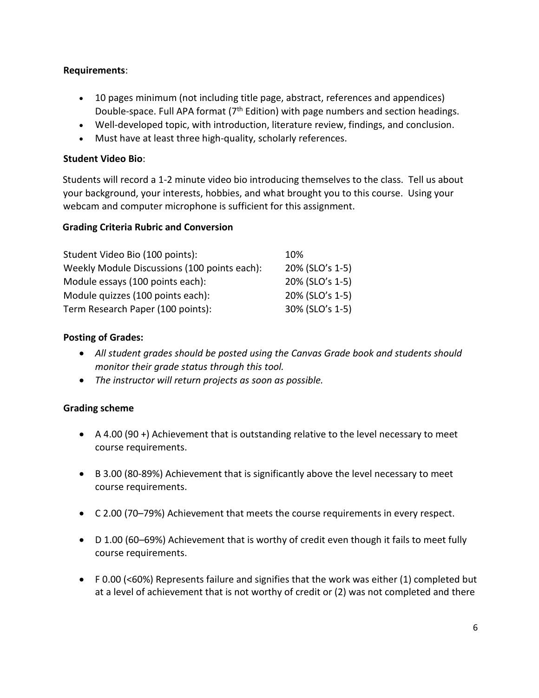## **Requirements**:

- 10 pages minimum (not including title page, abstract, references and appendices) Double-space. Full APA format  $(7<sup>th</sup> Edition)$  with page numbers and section headings.
- Well-developed topic, with introduction, literature review, findings, and conclusion.
- Must have at least three high-quality, scholarly references.

## **Student Video Bio**:

Students will record a 1-2 minute video bio introducing themselves to the class. Tell us about your background, your interests, hobbies, and what brought you to this course. Using your webcam and computer microphone is sufficient for this assignment.

## **Grading Criteria Rubric and Conversion**

| Student Video Bio (100 points):              | 10%             |
|----------------------------------------------|-----------------|
| Weekly Module Discussions (100 points each): | 20% (SLO's 1-5) |
| Module essays (100 points each):             | 20% (SLO's 1-5) |
| Module quizzes (100 points each):            | 20% (SLO's 1-5) |
| Term Research Paper (100 points):            | 30% (SLO's 1-5) |

## **Posting of Grades:**

- *All student grades should be posted using the Canvas Grade book and students should monitor their grade status through this tool.*
- *The instructor will return projects as soon as possible.*

#### **Grading scheme**

- A 4.00 (90 +) Achievement that is outstanding relative to the level necessary to meet course requirements.
- B 3.00 (80-89%) Achievement that is significantly above the level necessary to meet course requirements.
- C 2.00 (70–79%) Achievement that meets the course requirements in every respect.
- D 1.00 (60–69%) Achievement that is worthy of credit even though it fails to meet fully course requirements.
- F 0.00 (<60%) Represents failure and signifies that the work was either (1) completed but at a level of achievement that is not worthy of credit or (2) was not completed and there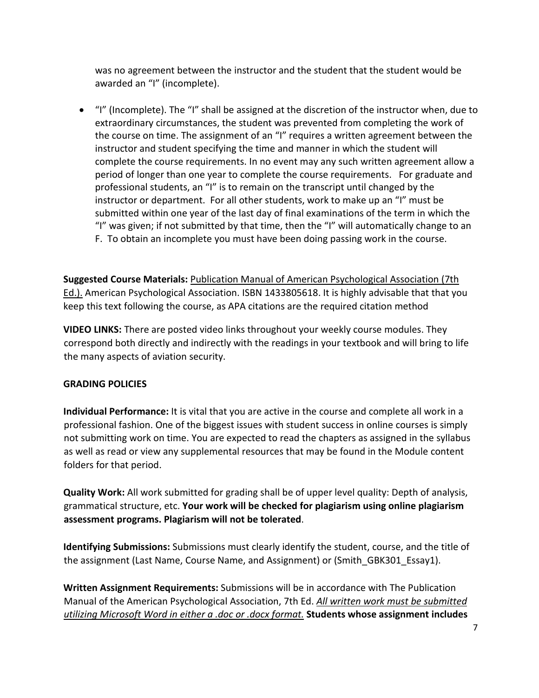was no agreement between the instructor and the student that the student would be awarded an "I" (incomplete).

• "I" (Incomplete). The "I" shall be assigned at the discretion of the instructor when, due to extraordinary circumstances, the student was prevented from completing the work of the course on time. The assignment of an "I" requires a written agreement between the instructor and student specifying the time and manner in which the student will complete the course requirements. In no event may any such written agreement allow a period of longer than one year to complete the course requirements. For graduate and professional students, an "I" is to remain on the transcript until changed by the instructor or department. For all other students, work to make up an "I" must be submitted within one year of the last day of final examinations of the term in which the "I" was given; if not submitted by that time, then the "I" will automatically change to an F. To obtain an incomplete you must have been doing passing work in the course.

**Suggested Course Materials:** Publication Manual of American Psychological Association (7th Ed.). American Psychological Association. ISBN 1433805618. It is highly advisable that that you keep this text following the course, as APA citations are the required citation method

**VIDEO LINKS:** There are posted video links throughout your weekly course modules. They correspond both directly and indirectly with the readings in your textbook and will bring to life the many aspects of aviation security.

## **GRADING POLICIES**

**Individual Performance:** It is vital that you are active in the course and complete all work in a professional fashion. One of the biggest issues with student success in online courses is simply not submitting work on time. You are expected to read the chapters as assigned in the syllabus as well as read or view any supplemental resources that may be found in the Module content folders for that period.

**Quality Work:** All work submitted for grading shall be of upper level quality: Depth of analysis, grammatical structure, etc. **Your work will be checked for plagiarism using online plagiarism assessment programs. Plagiarism will not be tolerated**.

**Identifying Submissions:** Submissions must clearly identify the student, course, and the title of the assignment (Last Name, Course Name, and Assignment) or (Smith\_GBK301\_Essay1).

**Written Assignment Requirements:** Submissions will be in accordance with The Publication Manual of the American Psychological Association, 7th Ed. *All written work must be submitted utilizing Microsoft Word in either a .doc or .docx format.* **Students whose assignment includes**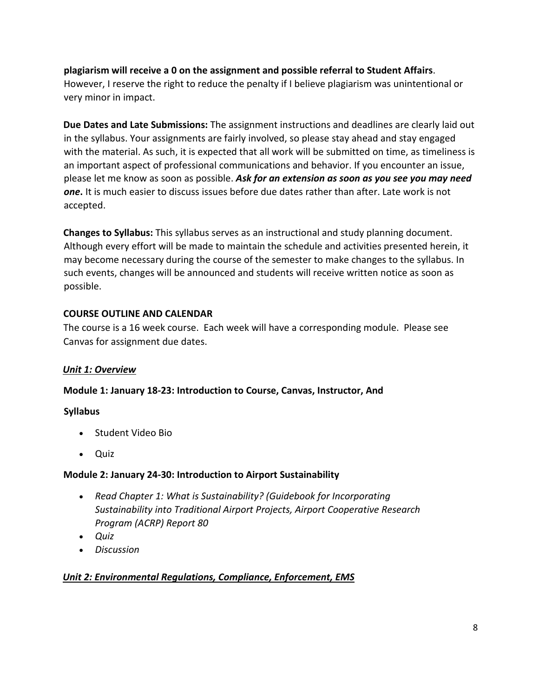**plagiarism will receive a 0 on the assignment and possible referral to Student Affairs**. However, I reserve the right to reduce the penalty if I believe plagiarism was unintentional or very minor in impact.

**Due Dates and Late Submissions:** The assignment instructions and deadlines are clearly laid out in the syllabus. Your assignments are fairly involved, so please stay ahead and stay engaged with the material. As such, it is expected that all work will be submitted on time, as timeliness is an important aspect of professional communications and behavior. If you encounter an issue, please let me know as soon as possible. *Ask for an extension as soon as you see you may need one***.** It is much easier to discuss issues before due dates rather than after. Late work is not accepted.

**Changes to Syllabus:** This syllabus serves as an instructional and study planning document. Although every effort will be made to maintain the schedule and activities presented herein, it may become necessary during the course of the semester to make changes to the syllabus. In such events, changes will be announced and students will receive written notice as soon as possible.

## **COURSE OUTLINE AND CALENDAR**

The course is a 16 week course. Each week will have a corresponding module. Please see Canvas for assignment due dates.

## *Unit 1: Overview*

## **Module 1: January 18-23: Introduction to Course, Canvas, Instructor, And**

## **Syllabus**

- Student Video Bio
- Quiz

## **Module 2: January 24-30: Introduction to Airport Sustainability**

- *Read Chapter 1: What is Sustainability? (Guidebook for Incorporating Sustainability into Traditional Airport Projects, Airport Cooperative Research Program (ACRP) Report 80*
- *Quiz*
- *Discussion*

# *Unit 2: Environmental Regulations, Compliance, Enforcement, EMS*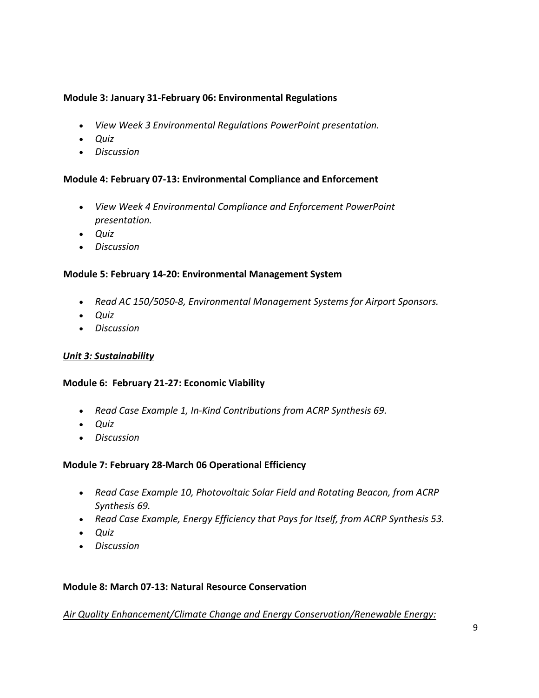## **Module 3: January 31-February 06: Environmental Regulations**

- *View Week 3 Environmental Regulations PowerPoint presentation.*
- *Quiz*
- *Discussion*

#### **Module 4: February 07-13: Environmental Compliance and Enforcement**

- *View Week 4 Environmental Compliance and Enforcement PowerPoint presentation.*
- *Quiz*
- *Discussion*

#### **Module 5: February 14-20: Environmental Management System**

- *Read AC 150/5050-8, Environmental Management Systems for Airport Sponsors.*
- *Quiz*
- *Discussion*

#### *Unit 3: Sustainability*

#### **Module 6: February 21-27: Economic Viability**

- *Read Case Example 1, In-Kind Contributions from ACRP Synthesis 69.*
- *Quiz*
- *Discussion*

## **Module 7: February 28-March 06 Operational Efficiency**

- *Read Case Example 10, Photovoltaic Solar Field and Rotating Beacon, from ACRP Synthesis 69.*
- *Read Case Example, Energy Efficiency that Pays for Itself, from ACRP Synthesis 53.*
- *Quiz*
- *Discussion*

#### **Module 8: March 07-13: Natural Resource Conservation**

#### *Air Quality Enhancement/Climate Change and Energy Conservation/Renewable Energy:*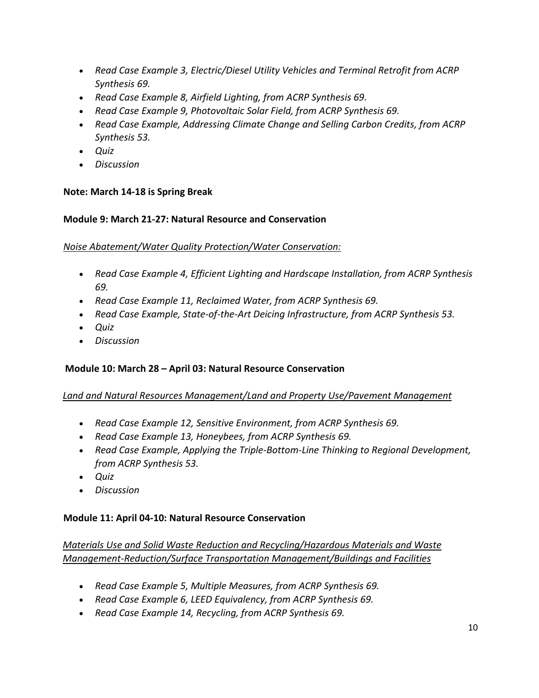- *Read Case Example 3, Electric/Diesel Utility Vehicles and Terminal Retrofit from ACRP Synthesis 69.*
- *Read Case Example 8, Airfield Lighting, from ACRP Synthesis 69.*
- *Read Case Example 9, Photovoltaic Solar Field, from ACRP Synthesis 69.*
- *Read Case Example, Addressing Climate Change and Selling Carbon Credits, from ACRP Synthesis 53.*
- *Quiz*
- *Discussion*

## **Note: March 14-18 is Spring Break**

#### **Module 9: March 21-27: Natural Resource and Conservation**

#### *Noise Abatement/Water Quality Protection/Water Conservation:*

- *Read Case Example 4, Efficient Lighting and Hardscape Installation, from ACRP Synthesis 69.*
- *Read Case Example 11, Reclaimed Water, from ACRP Synthesis 69.*
- *Read Case Example, State-of-the-Art Deicing Infrastructure, from ACRP Synthesis 53.*
- *Quiz*
- *Discussion*

## **Module 10: March 28 – April 03: Natural Resource Conservation**

## *Land and Natural Resources Management/Land and Property Use/Pavement Management*

- *Read Case Example 12, Sensitive Environment, from ACRP Synthesis 69.*
- *Read Case Example 13, Honeybees, from ACRP Synthesis 69.*
- *Read Case Example, Applying the Triple-Bottom-Line Thinking to Regional Development, from ACRP Synthesis 53.*
- *Quiz*
- *Discussion*

## **Module 11: April 04-10: Natural Resource Conservation**

*Materials Use and Solid Waste Reduction and Recycling/Hazardous Materials and Waste Management-Reduction/Surface Transportation Management/Buildings and Facilities* 

- *Read Case Example 5, Multiple Measures, from ACRP Synthesis 69.*
- *Read Case Example 6, LEED Equivalency, from ACRP Synthesis 69.*
- *Read Case Example 14, Recycling, from ACRP Synthesis 69.*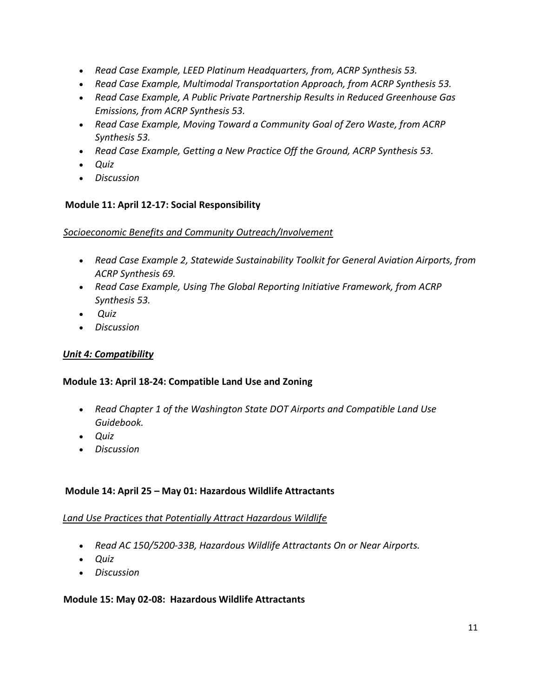- *Read Case Example, LEED Platinum Headquarters, from, ACRP Synthesis 53.*
- *Read Case Example, Multimodal Transportation Approach, from ACRP Synthesis 53.*
- *Read Case Example, A Public Private Partnership Results in Reduced Greenhouse Gas Emissions, from ACRP Synthesis 53.*
- *Read Case Example, Moving Toward a Community Goal of Zero Waste, from ACRP Synthesis 53.*
- *Read Case Example, Getting a New Practice Off the Ground, ACRP Synthesis 53.*
- *Quiz*
- *Discussion*

## **Module 11: April 12-17: Social Responsibility**

*Socioeconomic Benefits and Community Outreach/Involvement* 

- *Read Case Example 2, Statewide Sustainability Toolkit for General Aviation Airports, from ACRP Synthesis 69.*
- *Read Case Example, Using The Global Reporting Initiative Framework, from ACRP Synthesis 53.*
- *Quiz*
- *Discussion*

## *Unit 4: Compatibility*

## **Module 13: April 18-24: Compatible Land Use and Zoning**

- *Read Chapter 1 of the Washington State DOT Airports and Compatible Land Use Guidebook.*
- *Quiz*
- *Discussion*

## **Module 14: April 25 – May 01: Hazardous Wildlife Attractants**

#### *Land Use Practices that Potentially Attract Hazardous Wildlife*

- *Read AC 150/5200-33B, Hazardous Wildlife Attractants On or Near Airports.*
- *Quiz*
- *Discussion*

#### **Module 15: May 02-08: Hazardous Wildlife Attractants**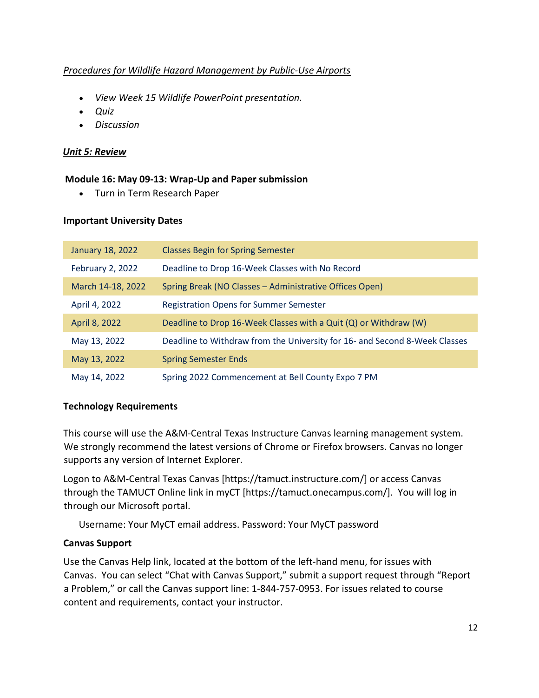## *Procedures for Wildlife Hazard Management by Public-Use Airports*

- *View Week 15 Wildlife PowerPoint presentation.*
- *Quiz*
- *Discussion*

## *Unit 5: Review*

#### **Module 16: May 09-13: Wrap-Up and Paper submission**

• Turn in Term Research Paper

#### **Important University Dates**

| January 18, 2022  | <b>Classes Begin for Spring Semester</b>                                   |
|-------------------|----------------------------------------------------------------------------|
| February 2, 2022  | Deadline to Drop 16-Week Classes with No Record                            |
| March 14-18, 2022 | Spring Break (NO Classes - Administrative Offices Open)                    |
| April 4, 2022     | <b>Registration Opens for Summer Semester</b>                              |
| April 8, 2022     | Deadline to Drop 16-Week Classes with a Quit (Q) or Withdraw (W)           |
| May 13, 2022      | Deadline to Withdraw from the University for 16- and Second 8-Week Classes |
| May 13, 2022      | <b>Spring Semester Ends</b>                                                |
| May 14, 2022      | Spring 2022 Commencement at Bell County Expo 7 PM                          |

#### **Technology Requirements**

This course will use the A&M-Central Texas Instructure Canvas learning management system. We strongly recommend the latest versions of Chrome or Firefox browsers. Canvas no longer supports any version of Internet Explorer.

Logon to A&M-Central Texas Canvas [https://tamuct.instructure.com/] or access Canvas through the TAMUCT Online link in myCT [https://tamuct.onecampus.com/]. You will log in through our Microsoft portal.

Username: Your MyCT email address. Password: Your MyCT password

#### **Canvas Support**

Use the Canvas Help link, located at the bottom of the left-hand menu, for issues with Canvas. You can select "Chat with Canvas Support," submit a support request through "Report a Problem," or call the Canvas support line: 1-844-757-0953. For issues related to course content and requirements, contact your instructor.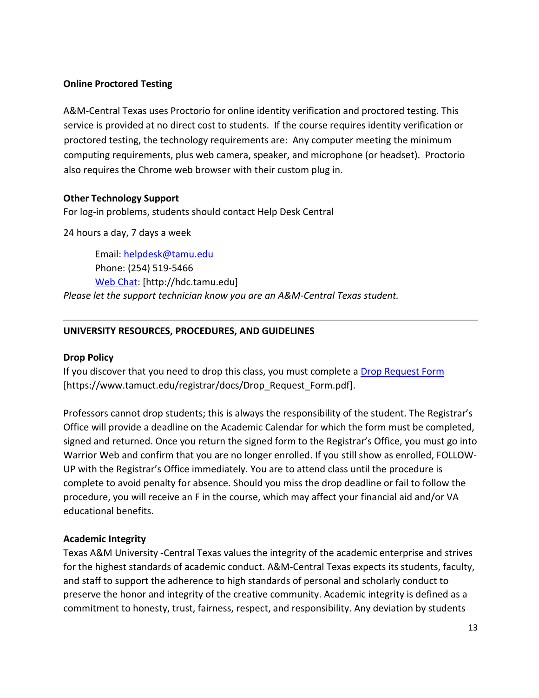## **Online Proctored Testing**

A&M-Central Texas uses Proctorio for online identity verification and proctored testing. This service is provided at no direct cost to students. If the course requires identity verification or proctored testing, the technology requirements are: Any computer meeting the minimum computing requirements, plus web camera, speaker, and microphone (or headset). Proctorio also requires the Chrome web browser with their custom plug in.

## **Other Technology Support**

For log-in problems, students should contact Help Desk Central

24 hours a day, 7 days a week

Email: [helpdesk@tamu.edu](mailto:helpdesk@tamu.edu) Phone: (254) 519-5466 [Web Chat:](http://hdc.tamu.edu/) [http://hdc.tamu.edu] *Please let the support technician know you are an A&M-Central Texas student.*

## **UNIVERSITY RESOURCES, PROCEDURES, AND GUIDELINES**

#### **Drop Policy**

If you discover that you need to drop this class, you must complete a [Drop Request Form](https://www.tamuct.edu/registrar/docs/Drop_Request_Form.pdf) [https://www.tamuct.edu/registrar/docs/Drop\_Request\_Form.pdf].

Professors cannot drop students; this is always the responsibility of the student. The Registrar's Office will provide a deadline on the Academic Calendar for which the form must be completed, signed and returned. Once you return the signed form to the Registrar's Office, you must go into Warrior Web and confirm that you are no longer enrolled. If you still show as enrolled, FOLLOW-UP with the Registrar's Office immediately. You are to attend class until the procedure is complete to avoid penalty for absence. Should you miss the drop deadline or fail to follow the procedure, you will receive an F in the course, which may affect your financial aid and/or VA educational benefits.

#### **Academic Integrity**

Texas A&M University -Central Texas values the integrity of the academic enterprise and strives for the highest standards of academic conduct. A&M-Central Texas expects its students, faculty, and staff to support the adherence to high standards of personal and scholarly conduct to preserve the honor and integrity of the creative community. Academic integrity is defined as a commitment to honesty, trust, fairness, respect, and responsibility. Any deviation by students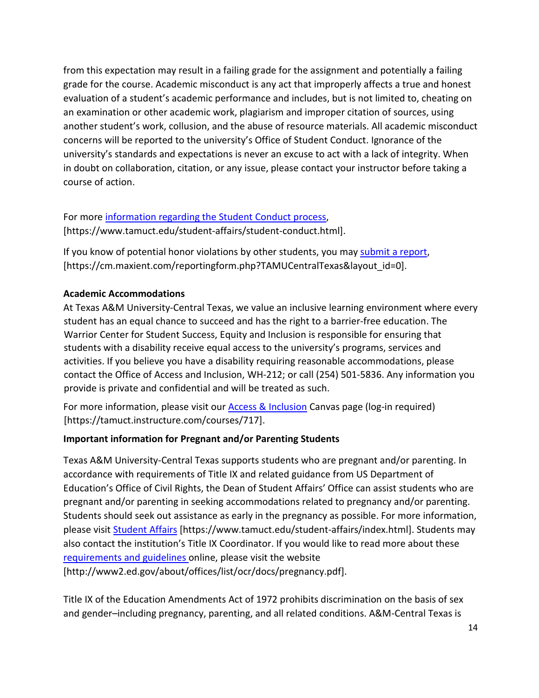from this expectation may result in a failing grade for the assignment and potentially a failing grade for the course. Academic misconduct is any act that improperly affects a true and honest evaluation of a student's academic performance and includes, but is not limited to, cheating on an examination or other academic work, plagiarism and improper citation of sources, using another student's work, collusion, and the abuse of resource materials. All academic misconduct concerns will be reported to the university's Office of Student Conduct. Ignorance of the university's standards and expectations is never an excuse to act with a lack of integrity. When in doubt on collaboration, citation, or any issue, please contact your instructor before taking a course of action.

# For more [information regarding the Student Conduct process,](https://www.tamuct.edu/student-affairs/student-conduct.html) [https://www.tamuct.edu/student-affairs/student-conduct.html].

If you know of potential honor violations by other students, you may [submit a report,](https://cm.maxient.com/reportingform.php?TAMUCentralTexas&layout_id=0) [https://cm.maxient.com/reportingform.php?TAMUCentralTexas&layout\_id=0].

# **Academic Accommodations**

At Texas A&M University-Central Texas, we value an inclusive learning environment where every student has an equal chance to succeed and has the right to a barrier-free education. The Warrior Center for Student Success, Equity and Inclusion is responsible for ensuring that students with a disability receive equal access to the university's programs, services and activities. If you believe you have a disability requiring reasonable accommodations, please contact the Office of Access and Inclusion, WH-212; or call (254) 501-5836. Any information you provide is private and confidential and will be treated as such.

For more information, please visit our **Access & Inclusion** Canvas page (log-in required) [https://tamuct.instructure.com/courses/717].

# **Important information for Pregnant and/or Parenting Students**

Texas A&M University-Central Texas supports students who are pregnant and/or parenting. In accordance with requirements of Title IX and related guidance from US Department of Education's Office of Civil Rights, the Dean of Student Affairs' Office can assist students who are pregnant and/or parenting in seeking accommodations related to pregnancy and/or parenting. Students should seek out assistance as early in the pregnancy as possible. For more information, please visit [Student Affairs](https://www.tamuct.edu/student-affairs/index.html) [https://www.tamuct.edu/student-affairs/index.html]. Students may also contact the institution's Title IX Coordinator. If you would like to read more about these [requirements and guidelines](http://www2.ed.gov/about/offices/list/ocr/docs/pregnancy.pdf) online, please visit the website [http://www2.ed.gov/about/offices/list/ocr/docs/pregnancy.pdf].

Title IX of the Education Amendments Act of 1972 prohibits discrimination on the basis of sex and gender–including pregnancy, parenting, and all related conditions. A&M-Central Texas is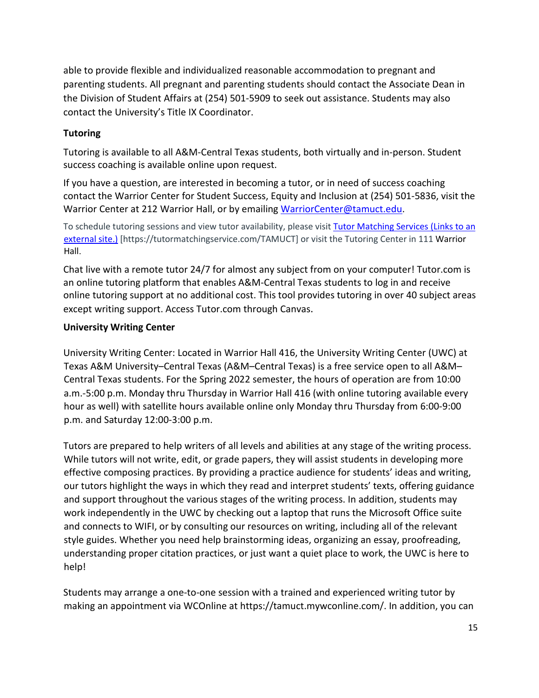able to provide flexible and individualized reasonable accommodation to pregnant and parenting students. All pregnant and parenting students should contact the Associate Dean in the Division of Student Affairs at (254) 501-5909 to seek out assistance. Students may also contact the University's Title IX Coordinator.

## **Tutoring**

Tutoring is available to all A&M-Central Texas students, both virtually and in-person. Student success coaching is available online upon request.

If you have a question, are interested in becoming a tutor, or in need of success coaching contact the Warrior Center for Student Success, Equity and Inclusion at (254) 501-5836, visit the Warrior Center at 212 Warrior Hall, or by emailing [WarriorCenter@tamuct.edu.](mailto:WarriorCenter@tamuct.edu)

To schedule tutoring sessions and view tutor availability, please visit [Tutor Matching Services](https://tutormatchingservice.com/TAMUCT) (Links to an [external](https://tutormatchingservice.com/TAMUCT) site.) [https://tutormatchingservice.com/TAMUCT] or visit the Tutoring Center in 111 Warrior Hall.

Chat live with a remote tutor 24/7 for almost any subject from on your computer! Tutor.com is an online tutoring platform that enables A&M-Central Texas students to log in and receive online tutoring support at no additional cost. This tool provides tutoring in over 40 subject areas except writing support. Access Tutor.com through Canvas.

## **University Writing Center**

University Writing Center: Located in Warrior Hall 416, the University Writing Center (UWC) at Texas A&M University–Central Texas (A&M–Central Texas) is a free service open to all A&M– Central Texas students. For the Spring 2022 semester, the hours of operation are from 10:00 a.m.-5:00 p.m. Monday thru Thursday in Warrior Hall 416 (with online tutoring available every hour as well) with satellite hours available online only Monday thru Thursday from 6:00-9:00 p.m. and Saturday 12:00-3:00 p.m.

Tutors are prepared to help writers of all levels and abilities at any stage of the writing process. While tutors will not write, edit, or grade papers, they will assist students in developing more effective composing practices. By providing a practice audience for students' ideas and writing, our tutors highlight the ways in which they read and interpret students' texts, offering guidance and support throughout the various stages of the writing process. In addition, students may work independently in the UWC by checking out a laptop that runs the Microsoft Office suite and connects to WIFI, or by consulting our resources on writing, including all of the relevant style guides. Whether you need help brainstorming ideas, organizing an essay, proofreading, understanding proper citation practices, or just want a quiet place to work, the UWC is here to help!

Students may arrange a one-to-one session with a trained and experienced writing tutor by making an appointment via WCOnline at https://tamuct.mywconline.com/. In addition, you can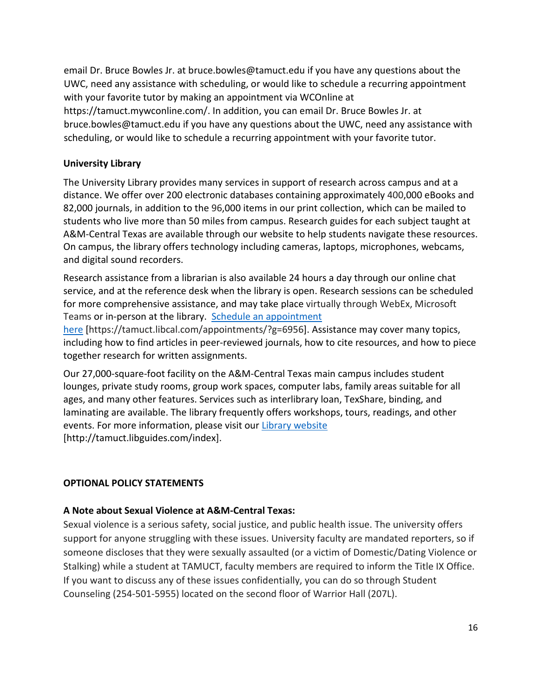email Dr. Bruce Bowles Jr. at bruce.bowles@tamuct.edu if you have any questions about the UWC, need any assistance with scheduling, or would like to schedule a recurring appointment with your favorite tutor by making an appointment via WCOnline at https://tamuct.mywconline.com/. In addition, you can email Dr. Bruce Bowles Jr. at bruce.bowles@tamuct.edu if you have any questions about the UWC, need any assistance with scheduling, or would like to schedule a recurring appointment with your favorite tutor.

#### **University Library**

The University Library provides many services in support of research across campus and at a distance. We offer over 200 electronic databases containing approximately 400,000 eBooks and 82,000 journals, in addition to the 96,000 items in our print collection, which can be mailed to students who live more than 50 miles from campus. Research guides for each subject taught at A&M-Central Texas are available through our website to help students navigate these resources. On campus, the library offers technology including cameras, laptops, microphones, webcams, and digital sound recorders.

Research assistance from a librarian is also available 24 hours a day through our online chat service, and at the reference desk when the library is open. Research sessions can be scheduled for more comprehensive assistance, and may take place virtually through WebEx, Microsoft Teams or in-person at the library. Schedule an [appointment](https://nam04.safelinks.protection.outlook.com/?url=https%3A%2F%2Ftamuct.libcal.com%2Fappointments%2F%3Fg%3D6956&data=04%7C01%7Clisa.bunkowski%40tamuct.edu%7Cde2c07d9f5804f09518008d9ab7ba6ff%7C9eed4e3000f744849ff193ad8005acec%7C0%7C0%7C637729369835011558%7CUnknown%7CTWFpbGZsb3d8eyJWIjoiMC4wLjAwMDAiLCJQIjoiV2luMzIiLCJBTiI6Ik1haWwiLCJXVCI6Mn0%3D%7C3000&sdata=KhtjgRSAw9aq%2FoBsB6wyu8b7PSuGN5EGPypzr3Ty2No%3D&reserved=0)

[here](https://nam04.safelinks.protection.outlook.com/?url=https%3A%2F%2Ftamuct.libcal.com%2Fappointments%2F%3Fg%3D6956&data=04%7C01%7Clisa.bunkowski%40tamuct.edu%7Cde2c07d9f5804f09518008d9ab7ba6ff%7C9eed4e3000f744849ff193ad8005acec%7C0%7C0%7C637729369835011558%7CUnknown%7CTWFpbGZsb3d8eyJWIjoiMC4wLjAwMDAiLCJQIjoiV2luMzIiLCJBTiI6Ik1haWwiLCJXVCI6Mn0%3D%7C3000&sdata=KhtjgRSAw9aq%2FoBsB6wyu8b7PSuGN5EGPypzr3Ty2No%3D&reserved=0) [https://tamuct.libcal.com/appointments/?g=6956]. Assistance may cover many topics, including how to find articles in peer-reviewed journals, how to cite resources, and how to piece together research for written assignments.

Our 27,000-square-foot facility on the A&M-Central Texas main campus includes student lounges, private study rooms, group work spaces, computer labs, family areas suitable for all ages, and many other features. Services such as interlibrary loan, TexShare, binding, and laminating are available. The library frequently offers workshops, tours, readings, and other events. For more information, please visit our Library [website](https://nam04.safelinks.protection.outlook.com/?url=https%3A%2F%2Ftamuct.libguides.com%2Findex&data=04%7C01%7Clisa.bunkowski%40tamuct.edu%7C7d8489e8839a4915335f08d916f067f2%7C9eed4e3000f744849ff193ad8005acec%7C0%7C0%7C637566044056484222%7CUnknown%7CTWFpbGZsb3d8eyJWIjoiMC4wLjAwMDAiLCJQIjoiV2luMzIiLCJBTiI6Ik1haWwiLCJXVCI6Mn0%3D%7C1000&sdata=2R755V6rcIyedGrd4Os5rkgn1PvhHKU3kUV1vBKiHFo%3D&reserved=0) [http://tamuct.libguides.com/index].

#### **OPTIONAL POLICY STATEMENTS**

#### **A Note about Sexual Violence at A&M-Central Texas:**

Sexual violence is a serious safety, social justice, and public health issue. The university offers support for anyone struggling with these issues. University faculty are mandated reporters, so if someone discloses that they were sexually assaulted (or a victim of Domestic/Dating Violence or Stalking) while a student at TAMUCT, faculty members are required to inform the Title IX Office. If you want to discuss any of these issues confidentially, you can do so through Student Counseling (254-501-5955) located on the second floor of Warrior Hall (207L).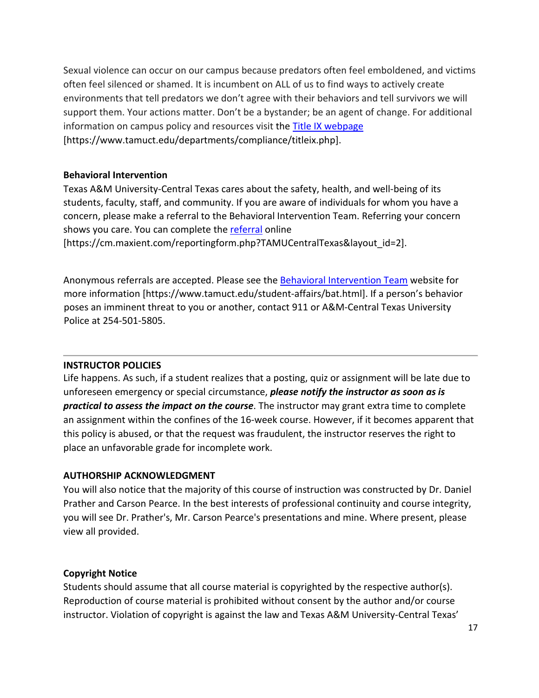Sexual violence can occur on our campus because predators often feel emboldened, and victims often feel silenced or shamed. It is incumbent on ALL of us to find ways to actively create environments that tell predators we don't agree with their behaviors and tell survivors we will support them. Your actions matter. Don't be a bystander; be an agent of change. For additional information on campus policy and resources visit the **Title IX webpage** [https://www.tamuct.edu/departments/compliance/titleix.php].

#### **Behavioral Intervention**

Texas A&M University-Central Texas cares about the safety, health, and well-being of its students, faculty, staff, and community. If you are aware of individuals for whom you have a concern, please make a referral to the Behavioral Intervention Team. Referring your concern shows you care. You can complete the [referral](https://cm.maxient.com/reportingform.php?TAMUCentralTexas&layout_id=2) online

[https://cm.maxient.com/reportingform.php?TAMUCentralTexas&layout\_id=2].

Anonymous referrals are accepted. Please see the [Behavioral Intervention Team](https://www.tamuct.edu/student-affairs/bat.html) website for more information [https://www.tamuct.edu/student-affairs/bat.html]. If a person's behavior poses an imminent threat to you or another, contact 911 or A&M-Central Texas University Police at 254-501-5805.

## **INSTRUCTOR POLICIES**

Life happens. As such, if a student realizes that a posting, quiz or assignment will be late due to unforeseen emergency or special circumstance, *please notify the instructor as soon as is practical to assess the impact on the course*. The instructor may grant extra time to complete an assignment within the confines of the 16-week course. However, if it becomes apparent that this policy is abused, or that the request was fraudulent, the instructor reserves the right to place an unfavorable grade for incomplete work.

## **AUTHORSHIP ACKNOWLEDGMENT**

You will also notice that the majority of this course of instruction was constructed by Dr. Daniel Prather and Carson Pearce. In the best interests of professional continuity and course integrity, you will see Dr. Prather's, Mr. Carson Pearce's presentations and mine. Where present, please view all provided.

#### **Copyright Notice**

Students should assume that all course material is copyrighted by the respective author(s). Reproduction of course material is prohibited without consent by the author and/or course instructor. Violation of copyright is against the law and Texas A&M University-Central Texas'